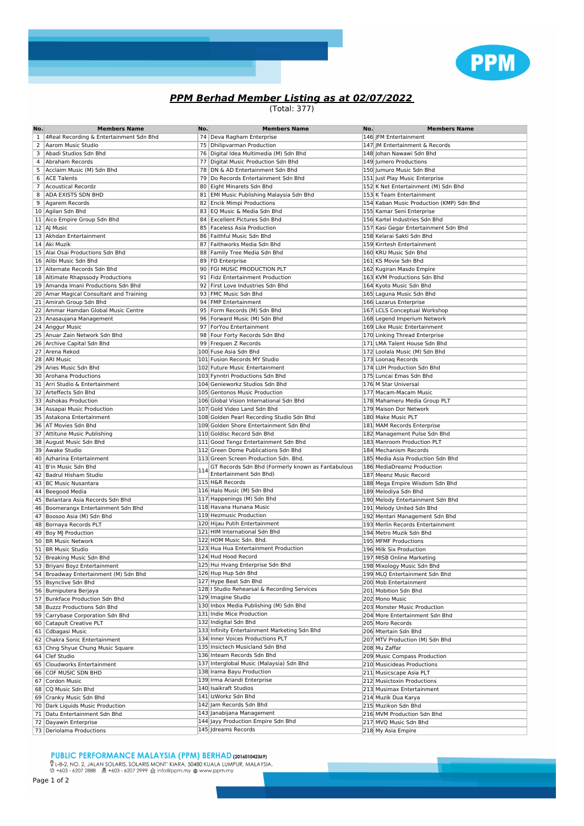

## **PPM Berhad Member Listing as at 02/07/2022**

(Total: 377)

| No. | <b>Members Name</b>                         | No. | <b>Members Name</b>                               | No. | <b>Members Name</b>                      |
|-----|---------------------------------------------|-----|---------------------------------------------------|-----|------------------------------------------|
|     | 1   4Real Recording & Entertainment Sdn Bhd |     | 74 Deva Ragham Enterprise                         |     | 146 JFM Entertainment                    |
|     | 2 Aarom Music Studio                        |     | 75   Dhilipvarman Production                      |     | 147 JM Entertainment & Records           |
| 3   | Abadi Studios Sdn Bhd                       |     | 76   Digital Idea Multimedia (M) Sdn Bhd          |     | 148 Johan Nawawi Sdn Bhd                 |
| 4   | Abraham Records                             |     | 77 Digital Music Production Sdn Bhd               |     | 149 Jumero Productions                   |
| 5   | Acclaim Music (M) Sdn Bhd                   |     | 78 DN & AD Entertainment Sdn Bhd                  |     | 150 Jumuro Music Sdn Bhd                 |
|     | 6 ACE Talents                               |     | 79 Do Records Entertainment Sdn Bhd               |     | 151 Just Play Music Enterprise           |
|     | 7 Acoustical Recordz                        |     | 80 Eight Minarets Sdn Bhd                         |     | 152 K Net Entertainment (M) Sdn Bhd      |
| 8   | <b>ADA EXISTS SDN BHD</b>                   |     | 81 EMI Music Publishing Malaysia Sdn Bhd          |     | 153 K Team Entertainment                 |
|     | 9 Agarem Records                            |     | 82 Encik Mimpi Productions                        |     | 154 Kaban Music Production (KMP) Sdn Bhd |
|     | 10 Agilan Sdn Bhd                           |     | 83 EQ Music & Media Sdn Bhd                       |     | 155 Kamar Seni Enterprise                |
|     | 11 Aico Empire Group Sdn Bhd                |     | 84 Excellent Pictures Sdn Bhd                     |     | 156 Kartel Industries Sdn Bhd            |
|     | 12 AJ Music                                 |     | 85 Faceless Asia Production                       |     | 157 Kasi Gegar Entertainment Sdn Bhd     |
|     | 13 Akhdan Entertainment                     |     | 86 Faithful Music Sdn Bhd                         |     | 158 Kelarai Sakti Sdn Bhd                |
|     | 14 Aki Muzik                                |     | 87 Faithworks Media Sdn Bhd                       |     | 159 Kirrtesh Entertainment               |
|     | 15 Alai Osai Productions Sdn Bhd            |     | 88 Family Tree Media Sdn Bhd                      |     | 160 KRU Music Sdn Bhd                    |
|     | 16 Alibi Music Sdn Bhd                      |     | 89 FD Enterprise                                  |     | 161 KS Movie Sdn Bhd                     |
|     | 17 Alternate Records Sdn Bhd                |     | 90 FGI MUSIC PRODUCTION PLT                       |     | 162 Kugiran Masdo Empire                 |
|     |                                             |     | 91 Fidz Entertainment Production                  |     | 163 KVM Productions Sdn Bhd              |
|     | 18 Altimate Rhapssody Productions           |     |                                                   |     |                                          |
|     | 19 Amanda Imani Productions Sdn Bhd         |     | 92 First Love Industries Sdn Bhd                  |     | 164 Kyoto Music Sdn Bhd                  |
|     | 20 Amar Magical Consultant and Training     |     | 93 FMC Music Sdn Bhd                              |     | 165 Laguna Music Sdn Bhd                 |
|     | 21 Amirah Group Sdn Bhd                     |     | 94 FMP Entertainment                              |     | 166 Lazarus Enterprise                   |
|     | 22 Ammar Hamdan Global Music Centre         |     | 95   Form Records (M) Sdn Bhd                     |     | 167 LCLS Conceptual Workshop             |
|     | 23 Anasaujana Management                    |     | 96 Forward Music (M) Sdn Bhd                      |     | 168 Legend Imperium Network              |
|     | 24 Anggur Music                             |     | 97 ForYou Entertainment                           |     | 169 Like Music Entertainment             |
|     | 25 Anuar Zain Network Sdn Bhd               |     | 98 Four Forty Records Sdn Bhd                     |     | 170 Linking Thread Enterprise            |
|     | 26 Archive Capital Sdn Bhd                  |     | 99 Frequen Z Records                              |     | 171 LMA Talent House Sdn Bhd             |
|     | 27 Arena Rekod                              |     | 100 Fuse Asia Sdn Bhd                             |     | 172 Loolala Music (M) Sdn Bhd            |
|     | 28 ARI Music                                |     | 101 Fusion Records MY Studio                      |     | 173 Loonag Records                       |
|     | 29 Aries Music Sdn Bhd                      |     | 102 Future Music Entertainment                    |     | 174 LUH Production Sdn Bhd               |
|     | 30 Arohana Productions                      |     | 103 Fynntri Productions Sdn Bhd                   |     | 175 Luncai Emas Sdn Bhd                  |
|     | 31 Arri Studio & Entertainment              |     | 104 Genieworkz Studios Sdn Bhd                    |     | 176 M Star Universal                     |
|     | 32 Arteffects Sdn Bhd                       |     | 105 Gentonos Music Production                     |     | 177 Macam-Macam Music                    |
|     | 33 Ashokas Production                       |     | 106 Global Vision International Sdn Bhd           |     | 178 Mahameru Media Group PLT             |
|     | 34 Assapai Music Production                 |     | 107 Gold Video Land Sdn Bhd                       |     | 179 Maison Dor Network                   |
|     | 35 Astakona Entertainment                   |     | 108 Golden Pearl Recording Studio Sdn Bhd         |     | 180 Make Music PLT                       |
|     | 36 AT Movies Sdn Bhd                        |     | 109 Golden Shore Entertainment Sdn Bhd            |     | 181 MAM Records Enterprise               |
|     | 37 Attitune Music Publishing                |     | 110 Goldisc Record Sdn Bhd                        |     | 182 Management Pulse Sdn Bhd             |
|     | 38 August Music Sdn Bhd                     |     | 111 Good Tengz Entertainment Sdn Bhd              |     | 183 Manroom Production PLT               |
|     | 39 Awake Studio                             |     | 112 Green Dome Publications Sdn Bhd               |     | 184 Mechanism Records                    |
|     | 40 Azharina Entertainment                   |     | 113 Green Screen Production Sdn. Bhd.             |     | 185 Media Asia Production Sdn Bhd        |
|     | 41 B'in Music Sdn Bhd                       |     | GT Records Sdn Bhd (Formerly known as Fantabulous |     | 186 MediaDreamz Production               |
|     | 42 Badrul Hisham Studio                     | 114 | Entertainment Sdn Bhd)                            |     | 187 Meenz Music Record                   |
|     | 43 BC Music Nusantara                       |     | 115 H&R Records                                   |     | 188 Mega Empire Wisdom Sdn Bhd           |
|     | 44 Beegood Media                            |     | 116 Halo Music (M) Sdn Bhd                        |     | 189 Melodiya Sdn Bhd                     |
|     | 45 Belantara Asia Records Sdn Bhd           |     | 117 Happenings (M) Sdn Bhd                        |     | 190 Melody Entertainment Sdn Bhd         |
|     | 46 Boomerangx Entertainment Sdn Bhd         |     | 118 Havana Hunana Music                           |     | 191 Melody United Sdn Bhd                |
|     | 47 Boosoo Asia (M) Sdn Bhd                  |     | 119 Hezmusic Production                           |     | 192 Mentari Management Sdn Bhd           |
|     | 48 Bornaya Records PLT                      |     | 120 Hijau Putih Entertainment                     |     | 193 Merlin Records Entertainment         |
|     | 49 Boy MJ Production                        |     | 121 HIM International Sdn Bhd                     |     | 194 Metro Muzik Sdn Bhd                  |
|     | 50 BR Music Network                         |     | 122 HOM Music Sdn. Bhd.                           |     | 195 MFMF Productions                     |
|     | 51 BR Music Studio                          |     | 123 Hua Hua Entertainment Production              |     | 196 Milk Six Production                  |
|     | 52 Breaking Music Sdn Bhd                   |     | 124 Hud Hood Record                               |     | 197 MISB Online Marketing                |
|     | 53 Briyani Boyz Entertainment               |     | 125 Hui Hvang Enterprise Sdn Bhd                  |     | 198 Mixology Music Sdn Bhd               |
|     | 54 Broadway Entertainment (M) Sdn Bhd       |     | 126 Hup Hup Sdn Bhd                               |     | 199 MLQ Entertainment Sdn Bhd            |
|     | 55 Bsynclive Sdn Bhd                        |     | 127 Hype Beat Sdn Bhd                             |     | 200 Mob Entertainment                    |
|     | 56 Bumiputera Berjaya                       |     | 128   Studio Rehearsal & Recording Services       |     | 201 Mobition Sdn Bhd                     |
|     | 57 Bunkface Production Sdn Bhd              |     | 129 Imagine Studio                                |     | 202 Mono Music                           |
|     | 58 Buzzz Productions Sdn Bhd                |     | 130 Inbox Media Publishing (M) Sdn Bhd            |     | 203 Monster Music Production             |
|     | 59 Carrybase Corporation Sdn Bhd            |     | 131 Indie Mice Production                         |     | 204 More Entertainment Sdn Bhd           |
|     | 60 Catapult Creative PLT                    |     | 132 Indigital Sdn Bhd                             |     | 205 Moro Records                         |
|     | 61 Cdbagasi Music                           |     | 133 Infinity Entertainment Marketing Sdn Bhd      |     | 206 Mtertain Sdn Bhd                     |
|     | 62 Chakra Sonic Entertainment               |     | 134 Inner Voices Productions PLT                  |     | 207 MTV Production (M) Sdn Bhd           |
|     | 63 Chng Shyue Chung Music Square            |     | 135 Insictech Musicland Sdn Bhd                   |     | 208 Mu Zaffar                            |
|     | 64 Clef Studio                              |     | 136 Inteam Records Sdn Bhd                        |     | 209 Music Compass Production             |
|     |                                             |     | 137 Interglobal Music (Malaysia) Sdn Bhd          |     |                                          |
|     | 65 Cloudworks Entertainment                 |     | 138 Irama Bayu Production                         |     | 210 Musicideas Productions               |
|     | 66 COF MUSIC SDN BHD                        |     | 139 Irma Ariandi Enterprise                       |     | 211 Musicscape Asia PLT                  |
|     | 67 Cordon Music                             |     | 140 Isaikraft Studios                             |     | 212 Musictoxin Productions               |
|     | 68 CQ Music Sdn Bhd                         |     | 141 IzWorkz Sdn Bhd                               |     | 213 Musimax Entertainment                |
|     | 69 Cranky Music Sdn Bhd                     |     |                                                   |     | 214 Muzik Dua Karya                      |
|     | 70 Dark Liquids Music Production            |     | 142 Jam Records Sdn Bhd                           |     | 215 Muzikon Sdn Bhd                      |
|     | 71 Datu Entertainment Sdn Bhd               |     | 143 Janabijana Management                         |     | 216 MVM Production Sdn Bhd               |
|     | 72 Dayawin Enterprise                       |     | 144 Jayy Production Empire Sdn Bhd                |     | 217 MVQ Music Sdn Bhd                    |
|     | 73 Deriolama Productions                    |     | 145 Jdreams Records                               |     | 218 My Asia Empire                       |